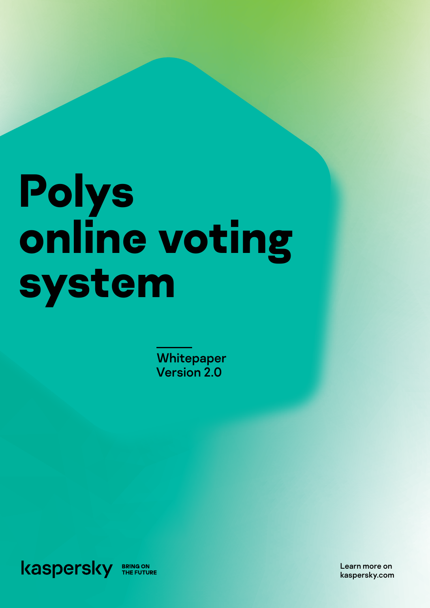# **Polys online voting system**

**Whitepaper** Version 2.0



Learn more on kaspersky.com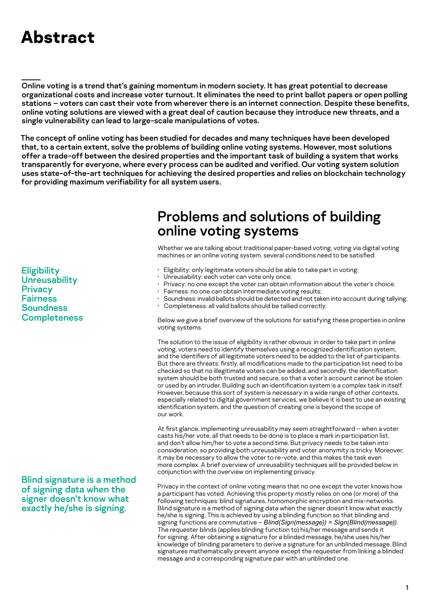# **Abstract**

Online voting is a trend that's gaining momentum in modern society. It has great potential to decrease organizational costs and increase voter turnout. It eliminates the need to print ballot papers or open polling stations – voters can cast their vote from wherever there is an internet connection. Despite these benefits, online voting solutions are viewed with a great deal of caution because they introduce new threats, and a single vulnerability can lead to large-scale manipulations of votes.

The concept of online voting has been studied for decades and many techniques have been developed that, to a certain extent, solve the problems of building online voting systems. However, most solutions offer a trade-off between the desired properties and the important task of building a system that works transparently for everyone, where every process can be audited and verified. Our voting system solution uses state-of-the-art techniques for achieving the desired properties and relies on blockchain technology for providing maximum verifiability for all system users.

> Problems and solutions of building online voting systems

Whether we are talking about traditional paper-based voting, voting via digital voting machines or an online voting system, several conditions need to be satisfied:

- Eligibility: only legitimate voters should be able to take part in voting;
- Unreusability: each voter can vote only once;
- Privacy: no one except the voter can obtain information about the voter's choice;
- Fairness: no one can obtain intermediate voting results;
- Soundness: invalid ballots should be detected and not taken into account during tallying;
- Completeness: all valid ballots should be tallied correctly.

Below we give a brief overview of the solutions for satisfying these properties in online voting systems.

The solution to the issue of eligibility is rather obvious: in order to take part in online voting, voters need to identify themselves using a recognized identification system, and the identifiers of all legitimate voters need to be added to the list of participants. But there are threats: firstly, all modifications made to the participation list need to be checked so that no illegitimate voters can be added, and secondly, the identification system should be both trusted and secure, so that a voter's account cannot be stolen or used by an intruder. Building such an identification system is a complex task in itself. However, because this sort of system is necessary in a wide range of other contexts, especially related to digital government services, we believe it is best to use an existing identification system, and the question of creating one is beyond the scope of our work.

At first glance, implementing unreusability may seem straightforward – when a voter casts his/her vote, all that needs to be done is to place a mark in participation list, and don't allow him/her to vote a second time. But privacy needs to be taken into consideration, so providing both unreusability and voter anonymity is tricky. Moreover, it may be necessary to allow the voter to re-vote, and this makes the task even more complex. A brief overview of unreusability techniques will be provided below in conjunction with the overview on implementing privacy.

Privacy in the context of online voting means that no one except the voter knows how a participant has voted. Achieving this property mostly relies on one (or more) of the following techniques: blind signatures, homomorphic encryption and mix-networks. Blind signature is a method of signing data when the signer doesn't know what exactly he/she is signing. This is achieved by using a blinding function so that blinding and signing functions are commutative – *Blind(Sign(message)) = Sign(Blind(message))*. The requester blinds (applies blinding function to) his/her message and sends it for signing. After obtaining a signature for a blinded message, he/she uses his/her knowledge of blinding parameters to derive a signature for an unblinded message. Blind signatures mathematically prevent anyone except the requester from linking a blinded message and a corresponding signature pair with an unblinded one.

**Eligibility Unreusability Privacy Fairness Soundness Completeness** 

Blind signature is a method of signing data when the signer doesn't know what exactly he/she is signing.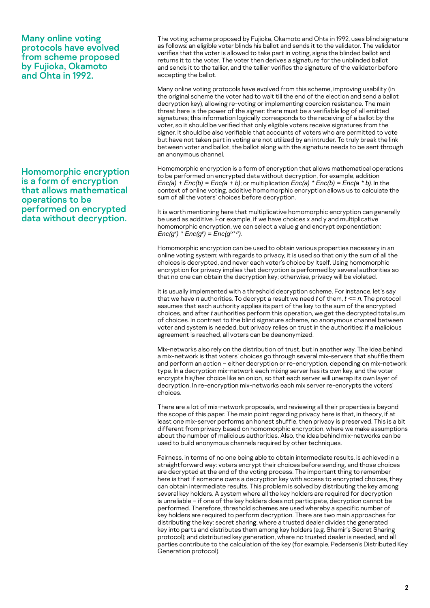Many online voting protocols have evolved from scheme proposed by Fujioka, Okamoto and Ohta in 1992.

Homomorphic encryption is a form of encryption that allows mathematical operations to be performed on encrypted data without decryption.

The voting scheme proposed by Fujioka, Okamoto and Ohta in 1992, uses blind signature as follows: an eligible voter blinds his ballot and sends it to the validator. The validator verifies that the voter is allowed to take part in voting, signs the blinded ballot and returns it to the voter. The voter then derives a signature for the unblinded ballot and sends it to the tallier, and the tallier verifies the signature of the validator before accepting the ballot.

Many online voting protocols have evolved from this scheme, improving usability (in the original scheme the voter had to wait till the end of the election and send a ballot decryption key), allowing re-voting or implementing coercion resistance. The main threat here is the power of the signer: there must be a verifiable log of all emitted signatures; this information logically corresponds to the receiving of a ballot by the voter, so it should be verified that only eligible voters receive signatures from the signer. It should be also verifiable that accounts of voters who are permitted to vote but have not taken part in voting are not utilized by an intruder. To truly break the link between voter and ballot, the ballot along with the signature needs to be sent through an anonymous channel.

Homomorphic encryption is a form of encryption that allows mathematical operations to be performed on encrypted data without decryption, for example, addition *Enc(a) + Enc(b) = Enc(a + b)*; or multiplication *Enc(a) \* Enc(b) = Enc(a \* b)*. In the context of online voting, additive homomorphic encryption allows us to calculate the sum of all the voters' choices before decryption.

It is worth mentioning here that multiplicative homomorphic encryption can generally be used as additive. For example, if we have choices x and y and multiplicative homomorphic encryption, we can select a value g and encrypt exponentiation: *Enc(g<sup>x</sup>)* \* *Enc(g<sup>y</sup>)* = *Enc(g<sup>(x+y)</sup>)*.

Homomorphic encryption can be used to obtain various properties necessary in an online voting system; with regards to privacy, it is used so that only the sum of all the choices is decrypted, and never each voter's choice by itself. Using homomorphic encryption for privacy implies that decryption is performed by several authorities so that no one can obtain the decryption key; otherwise, privacy will be violated.

It is usually implemented with a threshold decryption scheme. For instance, let's say that we have *n* authorities. To decrypt a result we need *t* of them, *t <= n*. The protocol assumes that each authority applies its part of the key to the sum of the encrypted choices, and after *t* authorities perform this operation, we get the decrypted total sum of choices. In contrast to the blind signature scheme, no anonymous channel between voter and system is needed, but privacy relies on trust in the authorities: if a malicious agreement is reached, all voters can be deanonymized.

Mix-networks also rely on the distribution of trust, but in another way. The idea behind a mix-network is that voters' choices go through several mix-servers that shuffle them and perform an action – either decryption or re-encryption, depending on mix-network type. In a decryption mix-network each mixing server has its own key, and the voter encrypts his/her choice like an onion, so that each server will unwrap its own layer of decryption. In re-encryption mix-networks each mix server re-encrypts the voters' choices.

There are a lot of mix-network proposals, and reviewing all their properties is beyond the scope of this paper. The main point regarding privacy here is that, in theory, if at least one mix-server performs an honest shuffle, then privacy is preserved. This is a bit different from privacy based on homomorphic encryption, where we make assumptions about the number of malicious authorities. Also, the idea behind mix-networks can be used to build anonymous channels required by other techniques.

Fairness, in terms of no one being able to obtain intermediate results, is achieved in a straightforward way: voters encrypt their choices before sending, and those choices are decrypted at the end of the voting process. The important thing to remember here is that if someone owns a decryption key with access to encrypted choices, they can obtain intermediate results. This problem is solved by distributing the key among several key holders. A system where all the key holders are required for decryption is unreliable – if one of the key holders does not participate, decryption cannot be performed. Therefore, threshold schemes are used whereby a specific number of key holders are required to perform decryption. There are two main approaches for distributing the key: secret sharing, where a trusted dealer divides the generated key into parts and distributes them among key holders (e.g. Shamir's Secret Sharing protocol); and distributed key generation, where no trusted dealer is needed, and all parties contribute to the calculation of the key (for example, Pedersen's Distributed Key Generation protocol).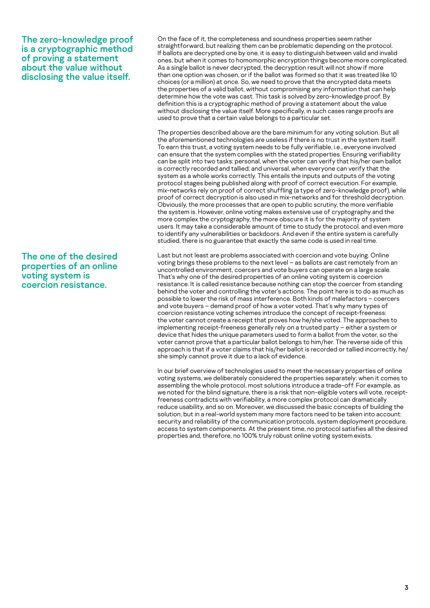The zero-knowledge proof is a cryptographic method of proving a statement about the value without disclosing the value itself.

The one of the desired properties of an online voting system is coercion resistance.

On the face of it, the completeness and soundness properties seem rather straightforward, but realizing them can be problematic depending on the protocol. If ballots are decrypted one by one, it is easy to distinguish between valid and invalid ones, but when it comes to homomorphic encryption things become more complicated. As a single ballot is never decrypted, the decryption result will not show if more than one option was chosen, or if the ballot was formed so that it was treated like 10 choices (or a million) at once. So, we need to prove that the encrypted data meets the properties of a valid ballot, without compromising any information that can help determine how the vote was cast. This task is solved by zero-knowledge proof. By definition this is a cryptographic method of proving a statement about the value without disclosing the value itself. More specifically, in such cases range proofs are used to prove that a certain value belongs to a particular set.

The properties described above are the bare minimum for any voting solution. But all the aforementioned technologies are useless if there is no trust in the system itself. To earn this trust, a voting system needs to be fully verifiable, i.e., everyone involved can ensure that the system complies with the stated properties. Ensuring verifiability can be split into two tasks: personal, when the voter can verify that his/her own ballot is correctly recorded and tallied; and universal, when everyone can verify that the system as a whole works correctly. This entails the inputs and outputs of the voting protocol stages being published along with proof of correct execution. For example, mix-networks rely on proof of correct shuffling (a type of zero-knowledge proof), while proof of correct decryption is also used in mix-networks and for threshold decryption. Obviously, the more processes that are open to public scrutiny, the more verifiable the system is. However, online voting makes extensive use of cryptography and the more complex the cryptography, the more obscure it is for the majority of system users. It may take a considerable amount of time to study the protocol, and even more to identify any vulnerabilities or backdoors. And even if the entire system is carefully studied, there is no guarantee that exactly the same code is used in real time.

Last but not least are problems associated with coercion and vote buying. Online voting brings these problems to the next level – as ballots are cast remotely from an uncontrolled environment, coercers and vote buyers can operate on a large scale. That's why one of the desired properties of an online voting system is coercion resistance. It is called resistance because nothing can stop the coercer from standing behind the voter and controlling the voter's actions. The point here is to do as much as possible to lower the risk of mass interference. Both kinds of malefactors – coercers and vote buyers – demand proof of how a voter voted. That's why many types of coercion resistance voting schemes introduce the concept of receipt-freeness: the voter cannot create a receipt that proves how he/she voted. The approaches to implementing receipt-freeness generally rely on a trusted party – either a system or device that hides the unique parameters used to form a ballot from the voter, so the voter cannot prove that a particular ballot belongs to him/her. The reverse side of this approach is that if a voter claims that his/her ballot is recorded or tallied incorrectly, he/ she simply cannot prove it due to a lack of evidence.

In our brief overview of technologies used to meet the necessary properties of online voting systems, we deliberately considered the properties separately: when it comes to assembling the whole protocol, most solutions introduce a trade-off. For example, as we noted for the blind signature, there is a risk that non-eligible voters will vote, receiptfreeness contradicts with verifiability, a more complex protocol can dramatically reduce usability, and so on. Moreover, we discussed the basic concepts of building the solution, but in a real-world system many more factors need to be taken into account: security and reliability of the communication protocols, system deployment procedure, access to system components. At the present time, no protocol satisfies all the desired properties and, therefore, no 100% truly robust online voting system exists.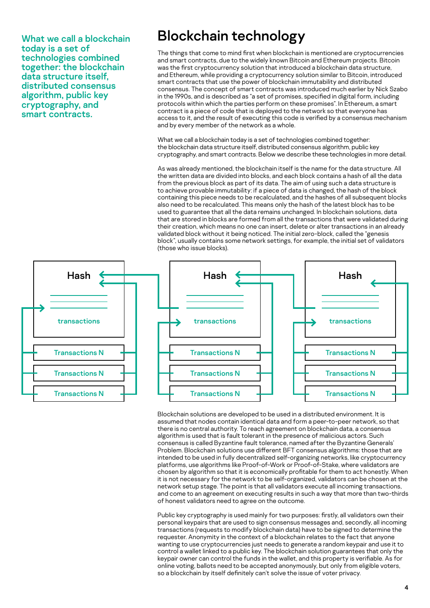What we call a blockchain today is a set of technologies combined together: the blockchain data structure itself, distributed consensus algorithm, public key cryptography, and smart contracts.

## Blockchain technology

The things that come to mind first when blockchain is mentioned are cryptocurrencies and smart contracts, due to the widely known Bitcoin and Ethereum projects. Bitcoin was the first cryptocurrency solution that introduced a blockchain data structure, and Ethereum, while providing a cryptocurrency solution similar to Bitcoin, introduced smart contracts that use the power of blockchain immutability and distributed consensus. The concept of smart contracts was introduced much earlier by Nick Szabo in the 1990s, and is described as "a set of promises, specified in digital form, including protocols within which the parties perform on these promises". In Ethereum, a smart contract is a piece of code that is deployed to the network so that everyone has access to it, and the result of executing this code is verified by a consensus mechanism and by every member of the network as a whole.

What we call a blockchain today is a set of technologies combined together: the blockchain data structure itself, distributed consensus algorithm, public key cryptography, and smart contracts. Below we describe these technologies in more detail.

As was already mentioned, the blockchain itself is the name for the data structure. All the written data are divided into blocks, and each block contains a hash of all the data from the previous block as part of its data. The aim of using such a data structure is to achieve provable immutability: if a piece of data is changed, the hash of the block containing this piece needs to be recalculated, and the hashes of all subsequent blocks also need to be recalculated. This means only the hash of the latest block has to be used to guarantee that all the data remains unchanged. In blockchain solutions, data that are stored in blocks are formed from all the transactions that were validated during their creation, which means no one can insert, delete or alter transactions in an already validated block without it being noticed. The initial zero-block, called the "genesis block", usually contains some network settings, for example, the initial set of validators (those who issue blocks).





Blockchain solutions are developed to be used in a distributed environment. It is assumed that nodes contain identical data and form a peer-to-peer network, so that there is no central authority. To reach agreement on blockchain data, a consensus algorithm is used that is fault tolerant in the presence of malicious actors. Such consensus is called Byzantine fault tolerance, named after the Byzantine Generals' Problem. Blockchain solutions use different BFT consensus algorithms: those that are intended to be used in fully decentralized self-organizing networks, like cryptocurrency platforms, use algorithms like Proof-of-Work or Proof-of-Stake, where validators are chosen by algorithm so that it is economically profitable for them to act honestly. When it is not necessary for the network to be self-organized, validators can be chosen at the network setup stage. The point is that all validators execute all incoming transactions, and come to an agreement on executing results in such a way that more than two-thirds of honest validators need to agree on the outcome.

Public key cryptography is used mainly for two purposes: firstly, all validators own their personal keypairs that are used to sign consensus messages and, secondly, all incoming transactions (requests to modify blockchain data) have to be signed to determine the requester. Anonymity in the context of a blockchain relates to the fact that anyone wanting to use cryptocurrencies just needs to generate a random keypair and use it to control a wallet linked to a public key. The blockchain solution guarantees that only the keypair owner can control the funds in the wallet, and this property is verifiable. As for online voting, ballots need to be accepted anonymously, but only from eligible voters, so a blockchain by itself definitely can't solve the issue of voter privacy.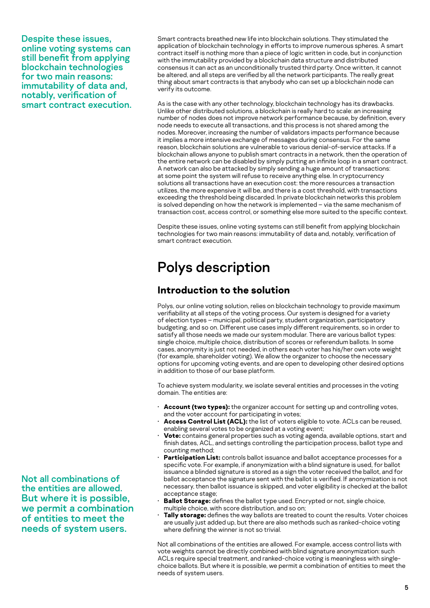Despite these issues, online voting systems can still benefit from applying blockchain technologies for two main reasons: immutability of data and, notably, verification of smart contract execution. Smart contracts breathed new life into blockchain solutions. They stimulated the application of blockchain technology in efforts to improve numerous spheres. A smart contract itself is nothing more than a piece of logic written in code, but in conjunction with the immutability provided by a blockchain data structure and distributed consensus it can act as an unconditionally trusted third party. Once written, it cannot be altered, and all steps are verified by all the network participants. The really great thing about smart contracts is that anybody who can set up a blockchain node can verify its outcome.

As is the case with any other technology, blockchain technology has its drawbacks. Unlike other distributed solutions, a blockchain is really hard to scale: an increasing number of nodes does not improve network performance because, by definition, every node needs to execute all transactions, and this process is not shared among the nodes. Moreover, increasing the number of validators impacts performance because it implies a more intensive exchange of messages during consensus. For the same reason, blockchain solutions are vulnerable to various denial-of-service attacks. If a blockchain allows anyone to publish smart contracts in a network, then the operation of the entire network can be disabled by simply putting an infinite loop in a smart contract. A network can also be attacked by simply sending a huge amount of transactions: at some point the system will refuse to receive anything else. In cryptocurrency solutions all transactions have an execution cost: the more resources a transaction utilizes, the more expensive it will be, and there is a cost threshold, with transactions exceeding the threshold being discarded. In private blockchain networks this problem is solved depending on how the network is implemented – via the same mechanism of transaction cost, access control, or something else more suited to the specific context.

Despite these issues, online voting systems can still benefit from applying blockchain technologies for two main reasons: immutability of data and, notably, verification of smart contract execution.

# Polys description

## **Introduction to the solution**

Polys, our online voting solution, relies on blockchain technology to provide maximum verifiability at all steps of the voting process. Our system is designed for a variety of election types – municipal, political party, student organization, participatory budgeting, and so on. Different use cases imply different requirements, so in order to satisfy all those needs we made our system modular. There are various ballot types: single choice, multiple choice, distribution of scores or referendum ballots. In some cases, anonymity is just not needed, in others each voter has his/her own vote weight (for example, shareholder voting). We allow the organizer to choose the necessary options for upcoming voting events, and are open to developing other desired options in addition to those of our base platform.

To achieve system modularity, we isolate several entities and processes in the voting domain. The entities are:

- **Account (two types):** the organizer account for setting up and controlling votes, and the voter account for participating in votes;
- Access Control List (ACL): the list of voters eligible to vote. ACLs can be reused, enabling several votes to be organized at a voting event;
- **Vote:** contains general properties such as voting agenda, available options, start and finish dates, ACL, and settings controlling the participation process, ballot type and counting method;
- Participation List: controls ballot issuance and ballot acceptance processes for a specific vote. For example, if anonymization with a blind signature is used, for ballot issuance a blinded signature is stored as a sign the voter received the ballot, and for ballot acceptance the signature sent with the ballot is verified. If anonymization is not necessary, then ballot issuance is skipped, and voter eligibility is checked at the ballot acceptance stage;
- **Ballot Storage:** defines the ballot type used. Encrypted or not, single choice, multiple choice, with score distribution, and so on;
- **Tally storage:** defines the way ballots are treated to count the results. Voter choices are usually just added up, but there are also methods such as ranked-choice voting where defining the winner is not so trivial.

Not all combinations of the entities are allowed. For example, access control lists with vote weights cannot be directly combined with blind signature anonymization: such ACLs require special treatment, and ranked-choice voting is meaningless with singlechoice ballots. But where it is possible, we permit a combination of entities to meet the needs of system users.

Not all combinations of the entities are allowed. But where it is possible, we permit a combination of entities to meet the needs of system users.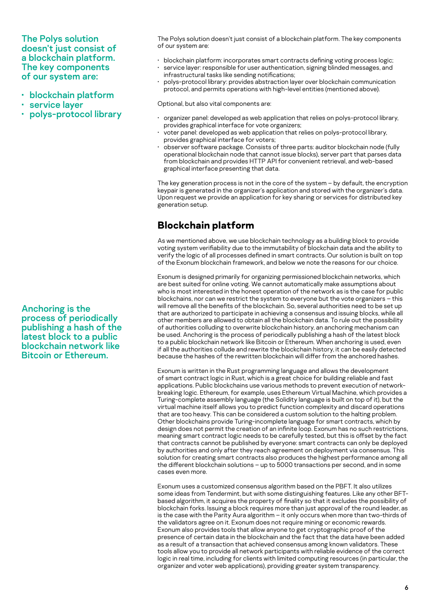The Polys solution doesn't just consist of a blockchain platform. The key components of our system are:

- blockchain platform
- service layer
- polys-protocol library

Anchoring is the process of periodically publishing a hash of the latest block to a public blockchain network like Bitcoin or Ethereum.

The Polys solution doesn't just consist of a blockchain platform. The key components of our system are:

- blockchain platform: incorporates smart contracts defining voting process logic;
- service layer: responsible for user authentication, signing blinded messages, and infrastructural tasks like sending notifications;
- polys-protocol library: provides abstraction layer over blockchain communication protocol, and permits operations with high-level entities (mentioned above).

Optional, but also vital components are:

- organizer panel: developed as web application that relies on polys-protocol library, provides graphical interface for vote organizers;
- voter panel: developed as web application that relies on polys-protocol library, provides graphical interface for voters;
- observer software package. Consists of three parts: auditor blockchain node (fully operational blockchain node that cannot issue blocks), server part that parses data from blockchain and provides HTTP API for convenient retrieval, and web-based graphical interface presenting that data.

The key generation process is not in the core of the system – by default, the encryption keypair is generated in the organizer's application and stored with the organizer's data. Upon request we provide an application for key sharing or services for distributed key generation setup.

## **Blockchain platform**

As we mentioned above, we use blockchain technology as a building block to provide voting system verifiability due to the immutability of blockchain data and the ability to verify the logic of all processes defined in smart contracts. Our solution is built on top of the Exonum blockchain framework, and below we note the reasons for our choice.

Exonum is designed primarily for organizing permissioned blockchain networks, which are best suited for online voting. We cannot automatically make assumptions about who is most interested in the honest operation of the network as is the case for public blockchains, nor can we restrict the system to everyone but the vote organizers – this will remove all the benefits of the blockchain. So, several authorities need to be set up that are authorized to participate in achieving a consensus and issuing blocks, while all other members are allowed to obtain all the blockchain data. To rule out the possibility of authorities colluding to overwrite blockchain history, an anchoring mechanism can be used. Anchoring is the process of periodically publishing a hash of the latest block to a public blockchain network like Bitcoin or Ethereum. When anchoring is used, even if all the authorities collude and rewrite the blockchain history, it can be easily detected because the hashes of the rewritten blockchain will differ from the anchored hashes.

Exonum is written in the Rust programming language and allows the development of smart contract logic in Rust, which is a great choice for building reliable and fast applications. Public blockchains use various methods to prevent execution of networkbreaking logic. Ethereum, for example, uses Ethereum Virtual Machine, which provides a Turing-complete assembly language (the Solidity language is built on top of it), but the virtual machine itself allows you to predict function complexity and discard operations that are too heavy. This can be considered a custom solution to the halting problem. Other blockchains provide Turing-incomplete language for smart contracts, which by design does not permit the creation of an infinite loop. Exonum has no such restrictions, meaning smart contract logic needs to be carefully tested, but this is offset by the fact that contracts cannot be published by everyone: smart contracts can only be deployed by authorities and only after they reach agreement on deployment via consensus. This solution for creating smart contracts also produces the highest performance among all the different blockchain solutions – up to 5000 transactions per second, and in some cases even more.

Exonum uses a customized consensus algorithm based on the PBFT. It also utilizes some ideas from Tendermint, but with some distinguishing features. Like any other BFTbased algorithm, it acquires the property of finality so that it excludes the possibility of blockchain forks. Issuing a block requires more than just approval of the round leader, as is the case with the Parity Aura algorithm – it only occurs when more than two-thirds of the validators agree on it. Exonum does not require mining or economic rewards. Exonum also provides tools that allow anyone to get cryptographic proof of the presence of certain data in the blockchain and the fact that the data have been added as a result of a transaction that achieved consensus among known validators. These tools allow you to provide all network participants with reliable evidence of the correct logic in real time, including for clients with limited computing resources (in particular, the organizer and voter web applications), providing greater system transparency.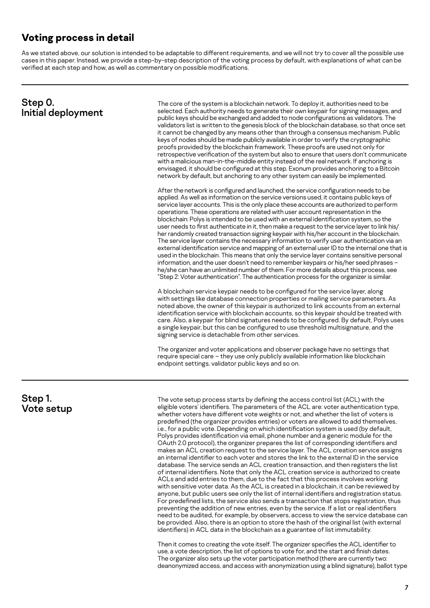## **Voting process in detail**

As we stated above, our solution is intended to be adaptable to different requirements, and we will not try to cover all the possible use cases in this paper. Instead, we provide a step-by-step description of the voting process by default, with explanations of what can be verified at each step and how, as well as commentary on possible modifications.

| Step 0.<br>Initial deployment | The core of the system is a blockchain network. To deploy it, authorities need to be<br>selected. Each authority needs to generate their own keypair for signing messages, and<br>public keys should be exchanged and added to node configurations as validators. The<br>validators list is written to the genesis block of the blockchain database, so that once set<br>it cannot be changed by any means other than through a consensus mechanism. Public<br>keys of nodes should be made publicly available in order to verify the cryptographic<br>proofs provided by the blockchain framework. These proofs are used not only for<br>retrospective verification of the system but also to ensure that users don't communicate<br>with a malicious man-in-the-middle entity instead of the real network. If anchoring is<br>envisaged, it should be configured at this step. Exonum provides anchoring to a Bitcoin<br>network by default, but anchoring to any other system can easily be implemented.                                                                                                                                                                                                                       |  |
|-------------------------------|-----------------------------------------------------------------------------------------------------------------------------------------------------------------------------------------------------------------------------------------------------------------------------------------------------------------------------------------------------------------------------------------------------------------------------------------------------------------------------------------------------------------------------------------------------------------------------------------------------------------------------------------------------------------------------------------------------------------------------------------------------------------------------------------------------------------------------------------------------------------------------------------------------------------------------------------------------------------------------------------------------------------------------------------------------------------------------------------------------------------------------------------------------------------------------------------------------------------------------------|--|
|                               | After the network is configured and launched, the service configuration needs to be<br>applied. As well as information on the service versions used, it contains public keys of<br>service layer accounts. This is the only place these accounts are authorized to perform<br>operations. These operations are related with user account representation in the<br>blockchain: Polys is intended to be used with an external identification system, so the<br>user needs to first authenticate in it, then make a request to the service layer to link his/<br>her randomly created transaction signing keypair with his/her account in the blockchain.<br>The service layer contains the necessary information to verify user authentication via an<br>external identification service and mapping of an external user ID to the internal one that is<br>used in the blockchain. This means that only the service layer contains sensitive personal<br>information, and the user doesn't need to remember keypairs or his/her seed phrases -<br>he/she can have an unlimited number of them. For more details about this process, see<br>"Step 2: Voter authentication". The authentication process for the organizer is similar. |  |
|                               | A blockchain service keypair needs to be configured for the service layer, along<br>with settings like database connection properties or mailing service parameters. As<br>noted above, the owner of this keypair is authorized to link accounts from an external<br>identification service with blockchain accounts, so this keypair should be treated with<br>care. Also, a keypair for blind signatures needs to be configured. By default, Polys uses<br>a single keypair, but this can be configured to use threshold multisignature, and the<br>signing service is detachable from other services.                                                                                                                                                                                                                                                                                                                                                                                                                                                                                                                                                                                                                          |  |
|                               | The organizer and voter applications and observer package have no settings that<br>require special care - they use only publicly available information like blockchain<br>endpoint settings, validator public keys and so on.                                                                                                                                                                                                                                                                                                                                                                                                                                                                                                                                                                                                                                                                                                                                                                                                                                                                                                                                                                                                     |  |
| Step 1.<br>Vote setup         | The vote setup process starts by defining the access control list (ACL) with the<br>eligible voters' identifiers. The parameters of the ACL are: voter authentication type,<br>whether voters have different vote weights or not, and whether the list of voters is<br>دعاها المتحال فالمتحدث والمستحدث                                                                                                                                                                                                                                                                                                                                                                                                                                                                                                                                                                                                                                                                                                                                                                                                                                                                                                                           |  |

predefined (the organizer provides entries) or voters are allowed to add themselves, i.e., for a public vote. Depending on which identification system is used (by default, Polys provides identification via email, phone number and a generic module for the OAuth 2.0 protocol), the organizer prepares the list of corresponding identifiers and makes an ACL creation request to the service layer. The ACL creation service assigns an internal identifier to each voter and stores the link to the external ID in the service database. The service sends an ACL creation transaction, and then registers the list of internal identifiers. Note that only the ACL creation service is authorized to create ACLs and add entries to them, due to the fact that this process involves working with sensitive voter data. As the ACL is created in a blockchain, it can be reviewed by anyone, but public users see only the list of internal identifiers and registration status. For predefined lists, the service also sends a transaction that stops registration, thus preventing the addition of new entries, even by the service. If a list or real identifiers need to be audited, for example, by observers, access to view the service database can be provided. Also, there is an option to store the hash of the original list (with external identifiers) in ACL data in the blockchain as a guarantee of list immutability.

Then it comes to creating the vote itself. The organizer specifies the ACL identifier to use, a vote description, the list of options to vote for, and the start and finish dates. The organizer also sets up the voter participation method (there are currently two: deanonymized access, and access with anonymization using a blind signature), ballot type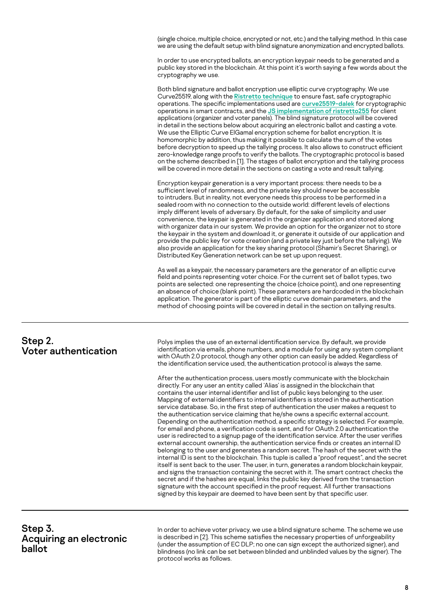(single choice, multiple choice, encrypted or not, etc.) and the tallying method. In this case we are using the default setup with blind signature anonymization and encrypted ballots.

In order to use encrypted ballots, an encryption keypair needs to be generated and a public key stored in the blockchain. At this point it's worth saying a few words about the cryptography we use.

Both blind signature and ballot encryption use elliptic curve cryptography. We use Curve25519, along with the [Ristretto technique](https://ristretto.group/) to ensure fast, safe cryptographic operations. The specific implementations used are [curve25519-dalek](https://github.com/dalek-cryptography/curve25519-dalek) for cryptographic operations in smart contracts, and the [JS implementation of ristretto255](https://www.npmjs.com/package/ristretto255) for client applications (organizer and voter panels). The blind signature protocol will be covered in detail in the sections below about acquiring an electronic ballot and casting a vote. We use the Elliptic Curve ElGamal encryption scheme for ballot encryption. It is homomorphic by addition, thus making it possible to calculate the sum of the votes before decryption to speed up the tallying process. It also allows to construct efficient zero-knowledge range proofs to verify the ballots. The cryptographic protocol is based on the scheme described in [\[1\]](#page-13-0). The stages of ballot encryption and the tallying process will be covered in more detail in the sections on casting a vote and result tallying.

Encryption keypair generation is a very important process: there needs to be a sufficient level of randomness, and the private key should never be accessible to intruders. But in reality, not everyone needs this process to be performed in a sealed room with no connection to the outside world: different levels of elections imply different levels of adversary. By default, for the sake of simplicity and user convenience, the keypair is generated in the organizer application and stored along with organizer data in our system. We provide an option for the organizer not to store the keypair in the system and download it, or generate it outside of our application and provide the public key for vote creation (and a private key just before the tallying). We also provide an application for the key sharing protocol (Shamir's Secret Sharing), or Distributed Key Generation network can be set up upon request.

As well as a keypair, the necessary parameters are the generator of an elliptic curve field and points representing voter choice. For the current set of ballot types, two points are selected: one representing the choice (choice point), and one representing an absence of choice (blank point). These parameters are hardcoded in the blockchain application. The generator is part of the elliptic curve domain parameters, and the method of choosing points will be covered in detail in the section on tallying results.

| Step 2.<br>Voter authentication | Polys implies the use of an external identification service. By default, we provide<br>identification via emails, phone numbers, and a module for using any system compliant<br>with OAuth 2.0 protocol, though any other option can easily be added. Regardless of<br>the identification service used, the authentication protocol is always the same.                                                                                                                                                                                                                                                                                                                                                                                                                                                                                                                                                                                                                                                                                                                                                                                                                                                                                                                                                                                                                                                                                                                                                                                                         |
|---------------------------------|-----------------------------------------------------------------------------------------------------------------------------------------------------------------------------------------------------------------------------------------------------------------------------------------------------------------------------------------------------------------------------------------------------------------------------------------------------------------------------------------------------------------------------------------------------------------------------------------------------------------------------------------------------------------------------------------------------------------------------------------------------------------------------------------------------------------------------------------------------------------------------------------------------------------------------------------------------------------------------------------------------------------------------------------------------------------------------------------------------------------------------------------------------------------------------------------------------------------------------------------------------------------------------------------------------------------------------------------------------------------------------------------------------------------------------------------------------------------------------------------------------------------------------------------------------------------|
|                                 | After the authentication process, users mostly communicate with the blockchain<br>directly. For any user an entity called 'Alias' is assigned in the blockchain that<br>contains the user internal identifier and list of public keys belonging to the user.<br>Mapping of external identifiers to internal identifiers is stored in the authentication<br>service database. So, in the first step of authentication the user makes a request to<br>the authentication service claiming that he/she owns a specific external account.<br>Depending on the authentication method, a specific strategy is selected. For example,<br>for email and phone, a verification code is sent, and for OAuth 2.0 authentication the<br>user is redirected to a signup page of the identification service. After the user verifies<br>external account ownership, the authentication service finds or creates an internal ID<br>belonging to the user and generates a random secret. The hash of the secret with the<br>internal ID is sent to the blockchain. This tuple is called a "proof request", and the secret<br>itself is sent back to the user. The user, in turn, generates a random blockchain keypair,<br>and signs the transaction containing the secret with it. The smart contract checks the<br>secret and if the hashes are equal, links the public key derived from the transaction<br>signature with the account specified in the proof request. All further transactions<br>signed by this keypair are deemed to have been sent by that specific user. |

#### Step 3. Acquiring an electronic ballot

In order to achieve voter privacy, we use a blind signature scheme. The scheme we use is described in [\[2\].](#page-13-0) This scheme satisfies the necessary properties of unforgeability (under the assumption of EC DLP; no one can sign except the authorized signer), and blindness (no link can be set between blinded and unblinded values by the signer). The protocol works as follows.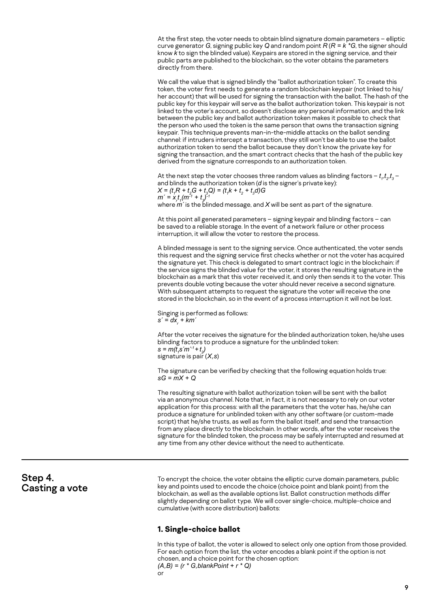At the first step, the voter needs to obtain blind signature domain parameters – elliptic curve generator *G*, signing public key *Q* and random point *R* (*R = k \*G*, the signer should know *k* to sign the blinded value). Keypairs are stored in the signing service, and their public parts are published to the blockchain, so the voter obtains the parameters directly from there.

We call the value that is signed blindly the "ballot authorization token". To create this token, the voter first needs to generate a random blockchain keypair (not linked to his/ her account) that will be used for signing the transaction with the ballot. The hash of the public key for this keypair will serve as the ballot authorization token. This keypair is not linked to the voter's account, so doesn't disclose any personal information, and the link between the public key and ballot authorization token makes it possible to check that the person who used the token is the same person that owns the transaction signing keypair. This technique prevents man-in-the-middle attacks on the ballot sending channel: if intruders intercept a transaction, they still won't be able to use the ballot authorization token to send the ballot because they don't know the private key for signing the transaction, and the smart contract checks that the hash of the public key derived from the signature corresponds to an authorization token.

At the next step the voter chooses three random values as blinding factors –  $t_{\scriptscriptstyle{7}}$ , $t_{\scriptscriptstyle{2}}$ , $t_{\scriptscriptstyle{3}}$  – and blinds the authorization token (*d* is the signer's private key):  $X = (t_1 R + t_2 G + t_3 Q) = (t_1 k + t_2 + t_3 d) G$  $m' = x_r t_1 (m^{-1} + t_3)^{-1}$ where  $m'$  is the blinded message, and  $X$  will be sent as part of the signature.

At this point all generated parameters – signing keypair and blinding factors – can be saved to a reliable storage. In the event of a network failure or other process interruption, it will allow the voter to restore the process.

A blinded message is sent to the signing service. Once authenticated, the voter sends this request and the signing service first checks whether or not the voter has acquired the signature yet. This check is delegated to smart contract logic in the blockchain: if the service signs the blinded value for the voter, it stores the resulting signature in the blockchain as a mark that this voter received it, and only then sends it to the voter. This prevents double voting because the voter should never receive a second signature. With subsequent attempts to request the signature the voter will receive the one stored in the blockchain, so in the event of a process interruption it will not be lost.

Singing is performed as follows: *s´ = dx<sub>r</sub> + km´* 

After the voter receives the signature for the blinded authorization token, he/she uses blinding factors to produce a signature for the unblinded token:  $s = m(t_1 s' m^{-1} + t_2)$ signature is pair (*X,s*)

The signature can be verified by checking that the following equation holds true: *sG = mX + Q*

The resulting signature with ballot authorization token will be sent with the ballot via an anonymous channel. Note that, in fact, it is not necessary to rely on our voter application for this process: with all the parameters that the voter has, he/she can produce a signature for unblinded token with any other software (or custom-made script) that he/she trusts, as well as form the ballot itself, and send the transaction from any place directly to the blockchain. In other words, after the voter receives the signature for the blinded token, the process may be safely interrupted and resumed at any time from any other device without the need to authenticate.

#### Step 4. Casting a vote

To encrypt the choice, the voter obtains the elliptic curve domain parameters, public key and points used to encode the choice (choice point and blank point) from the blockchain, as well as the available options list. Ballot construction methods differ slightly depending on ballot type. We will cover single-choice, multiple-choice and cumulative (with score distribution) ballots:

#### **1. Single-choice ballot**

In this type of ballot, the voter is allowed to select only one option from those provided. For each option from the list, the voter encodes a blank point if the option is not chosen, and a choice point for the chosen option: *(A,B) = (r \* G,blankPoint + r \* Q)*

```
or
```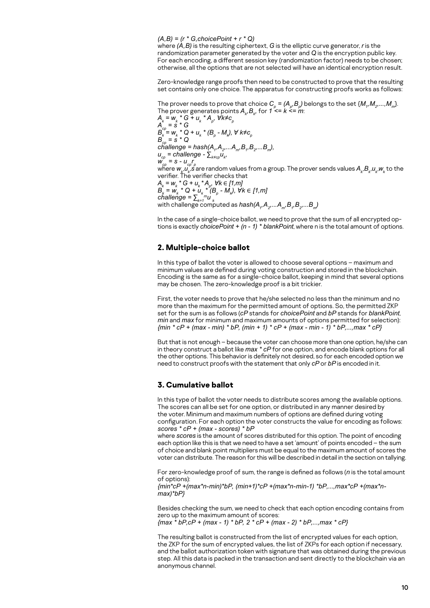*(A,B) = (r \* G,choicePoint + r \* Q)*

where *(A,B)* is the resulting ciphertext, *G* is the elliptic curve generator, *r* is the randomization parameter generated by the voter and *Q* is the encryption public key. For each encoding, a different session key (randomization factor) needs to be chosen; otherwise, all the options that are not selected will have an identical encryption result.

Zero-knowledge range proofs then need to be constructed to prove that the resulting set contains only one choice. The apparatus for constructing proofs works as follows:

The prover needs to prove that choice  $C_{\rho} = (A_{\rho}, B_{\rho})$  belongs to the set  $\{M_{\eta}, M_{2}, ..., M_{m}\}$ . The prover generates points  $A_{k}$ ,  $B_{k}$ , for 1 <= k <= m:

 $A_{k} = W_{k} * G + U_{k} * A_{p}$ ,  $\forall k \neq c_{p}$ *Acp = s \* G*  $B_k = w_k * Q + u_k * (B_p - M_k)$ ,  $\forall k \neq c_p$  $B_{cp} = S^* Q$ *challenge = hash(A1 ,A2,...Am,B1 ,B2,...Bm),*  $u_{cp}^{}$  = challenge -  $\sum_{k\neq cp}u_{k\neq}^{}$  $W_{c\rho}^{\nu} = S - U_{c\rho} r_{\rho}$ where  $w_{\nu}^{}\mu_{\nu}^{}$  ,  $s$  are random values from a group. The prover sends values  $A_{\nu}^{}$ , $B_{\nu}^{}$ , $u_{\nu}^{}$ , $w_{\nu}^{}$  to the verifier. The verifier checks that  $A_k = w_k * G + u_k * A_p$ ,  $\forall k \in [1, m]$ *B*<sub>k</sub> = w<sub>k</sub> \* Q + u<sub>k</sub> \* (B<sub>p</sub> − M<sub>k</sub>), ∀k ∈ [1,m]  $challenge = \sum_{k=1}^{m} u_k$ with challenge computed as  $\mathit{hash}(A_{_f},A_{_2}...A_{_{m}},B_{_f},B_{_2}...B_{_{m}})$ 

In the case of a single-choice ballot, we need to prove that the sum of all encrypted options is exactly *choicePoint + (n - 1) \* blankPoint*, where n is the total amount of options.

#### **2. Multiple-choice ballot**

In this type of ballot the voter is allowed to choose several options – maximum and minimum values are defined during voting construction and stored in the blockchain. Encoding is the same as for a single-choice ballot, keeping in mind that several options may be chosen. The zero-knowledge proof is a bit trickier.

First, the voter needs to prove that he/she selected no less than the minimum and no more than the maximum for the permitted amount of options. So, the permitted ZKP set for the sum is as follows (*cP* stands for *choicePoint* and *bP* stands for *blankPoint*, *min* and *max* for minimum and maximum amounts of options permitted for selection): *{min \* cP + (max - min) \* bP, (min + 1) \* cP + (max - min - 1) \* bP,...,max \* cP}* 

But that is not enough – because the voter can choose more than one option, he/she can in theory construct a ballot like *max \* cP* for one option, and encode blank options for all the other options. This behavior is definitely not desired, so for each encoded option we need to construct proofs with the statement that only *cP* or *bP* is encoded in it.

#### **3. Cumulative ballot**

In this type of ballot the voter needs to distribute scores among the available options. The scores can all be set for one option, or distributed in any manner desired by the voter. Minimum and maximum numbers of options are defined during voting configuration. For each option the voter constructs the value for encoding as follows: *scores \* cP + (max - scores) \* bP*

where *scores* is the amount of scores distributed for this option. The point of encoding each option like this is that we need to have a set 'amount' of points encoded – the sum of choice and blank point multipliers must be equal to the maximum amount of scores the voter can distribute. The reason for this will be described in detail in the section on tallying.

For zero-knowledge proof of sum, the range is defined as follows (*n* is the total amount of options):

*{min\*cP +(max\*n-min)\*bP, (min+1)\*cP +(max\*n-min-1) \*bP,...,max\*cP +(max\*nmax)\*bP}* 

Besides checking the sum, we need to check that each option encoding contains from zero up to the maximum amount of scores: *{max \* bP,cP + (max - 1) \* bP, 2 \* cP + (max - 2) \* bP,...,max \* cP}*

The resulting ballot is constructed from the list of encrypted values for each option, the ZKP for the sum of encrypted values, the list of ZKPs for each option if necessary, and the ballot authorization token with signature that was obtained during the previous step. All this data is packed in the transaction and sent directly to the blockchain via an anonymous channel.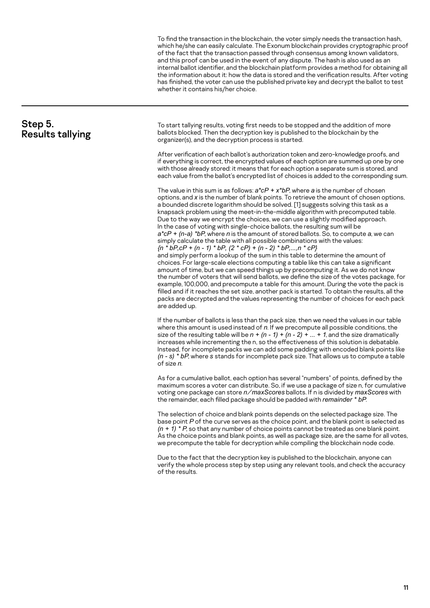To find the transaction in the blockchain, the voter simply needs the transaction hash, which he/she can easily calculate. The Exonum blockchain provides cryptographic proof of the fact that the transaction passed through consensus among known validators, and this proof can be used in the event of any dispute. The hash is also used as an internal ballot identifier, and the blockchain platform provides a method for obtaining all the information about it: how the data is stored and the verification results. After voting has finished, the voter can use the published private key and decrypt the ballot to test whether it contains his/her choice.

| Step 5.<br><b>Results tallying</b> | To start tallying results, voting first needs to be stopped and the addition of more<br>ballots blocked. Then the decryption key is published to the blockchain by the<br>organizer(s), and the decryption process is started.                                                                                                                                                                                                                                                                                                                                                                                                                                                                                                                                                                                                                                                                                                                                                                                                                                                                                                                                                                                                                                                                                                                                                                                                            |
|------------------------------------|-------------------------------------------------------------------------------------------------------------------------------------------------------------------------------------------------------------------------------------------------------------------------------------------------------------------------------------------------------------------------------------------------------------------------------------------------------------------------------------------------------------------------------------------------------------------------------------------------------------------------------------------------------------------------------------------------------------------------------------------------------------------------------------------------------------------------------------------------------------------------------------------------------------------------------------------------------------------------------------------------------------------------------------------------------------------------------------------------------------------------------------------------------------------------------------------------------------------------------------------------------------------------------------------------------------------------------------------------------------------------------------------------------------------------------------------|
|                                    | After verification of each ballot's authorization token and zero-knowledge proofs, and<br>if everything is correct, the encrypted values of each option are summed up one by one<br>with those already stored: it means that for each option a separate sum is stored, and<br>each value from the ballot's encrypted list of choices is added to the corresponding sum.                                                                                                                                                                                                                                                                                                                                                                                                                                                                                                                                                                                                                                                                                                                                                                                                                                                                                                                                                                                                                                                                   |
|                                    | The value in this sum is as follows: $a^*cP + x^*bP$ , where a is the number of chosen<br>options, and x is the number of blank points. To retrieve the amount of chosen options,<br>a bounded discrete logarithm should be solved. [1] suggests solving this task as a<br>knapsack problem using the meet-in-the-middle algorithm with precomputed table.<br>Due to the way we encrypt the choices, we can use a slightly modified approach.<br>In the case of voting with single-choice ballots, the resulting sum will be<br>$a^*cP$ + (n-a) *bP where n is the amount of stored ballots. So, to compute a, we can<br>simply calculate the table with all possible combinations with the values:<br>$\{n * bP, cP + (n - 1) * bP, (2 * cP) + (n - 2) * bP, , n * cP\}$<br>and simply perform a lookup of the sum in this table to determine the amount of<br>choices. For large-scale elections computing a table like this can take a significant<br>amount of time, but we can speed things up by precomputing it. As we do not know<br>the number of voters that will send ballots, we define the size of the votes package, for<br>example, 100,000, and precompute a table for this amount. During the vote the pack is<br>filled and if it reaches the set size, another pack is started. To obtain the results, all the<br>packs are decrypted and the values representing the number of choices for each pack<br>are added up. |
|                                    | If the number of ballots is less than the pack size, then we need the values in our table<br>where this amount is used instead of $n$ . If we precompute all possible conditions, the<br>size of the resulting table will be $n + (n - 1) + (n - 2) +  + 1$ , and the size dramatically<br>increases while incrementing the n, so the effectiveness of this solution is debatable.<br>Instead, for incomplete packs we can add some padding with encoded blank points like<br>$(n - s) * bP$ , where s stands for incomplete pack size. That allows us to compute a table<br>of size n.                                                                                                                                                                                                                                                                                                                                                                                                                                                                                                                                                                                                                                                                                                                                                                                                                                                   |
|                                    | As for a cumulative ballot, each option has several "numbers" of points, defined by the<br>maximum scores a voter can distribute. So, if we use a package of size n, for cumulative<br>voting one package can store $n/max$ Scores ballots. If n is divided by $max$ Scores with<br>the remainder, each filled package should be padded with remainder * bP.                                                                                                                                                                                                                                                                                                                                                                                                                                                                                                                                                                                                                                                                                                                                                                                                                                                                                                                                                                                                                                                                              |
|                                    | The selection of choice and blank points depends on the selected package size. The<br>base point P of the curve serves as the choice point, and the blank point is selected as<br>$(n + 1)$ * P, so that any number of choice points cannot be treated as one blank point.<br>As the choice points and blank points, as well as package size, are the same for all votes,<br>we precompute the table for decryption while compiling the blockchain node code.                                                                                                                                                                                                                                                                                                                                                                                                                                                                                                                                                                                                                                                                                                                                                                                                                                                                                                                                                                             |
|                                    | Due to the fact that the decryption key is published to the blockchain, anyone can<br>verify the whole process step by step using any relevant tools, and check the accuracy<br>of the results.                                                                                                                                                                                                                                                                                                                                                                                                                                                                                                                                                                                                                                                                                                                                                                                                                                                                                                                                                                                                                                                                                                                                                                                                                                           |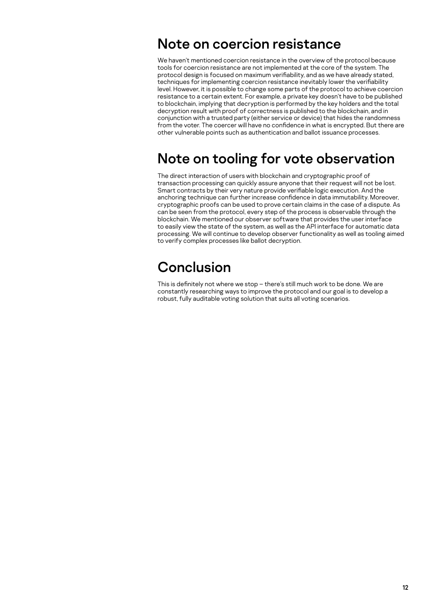## Note on coercion resistance

We haven't mentioned coercion resistance in the overview of the protocol because tools for coercion resistance are not implemented at the core of the system. The protocol design is focused on maximum verifiability, and as we have already stated, techniques for implementing coercion resistance inevitably lower the verifiability level. However, it is possible to change some parts of the protocol to achieve coercion resistance to a certain extent. For example, a private key doesn't have to be published to blockchain, implying that decryption is performed by the key holders and the total decryption result with proof of correctness is published to the blockchain, and in conjunction with a trusted party (either service or device) that hides the randomness from the voter. The coercer will have no confidence in what is encrypted. But there are other vulnerable points such as authentication and ballot issuance processes.

## Note on tooling for vote observation

The direct interaction of users with blockchain and cryptographic proof of transaction processing can quickly assure anyone that their request will not be lost. Smart contracts by their very nature provide verifiable logic execution. And the anchoring technique can further increase confidence in data immutability. Moreover, cryptographic proofs can be used to prove certain claims in the case of a dispute. As can be seen from the protocol, every step of the process is observable through the blockchain. We mentioned our observer software that provides the user interface to easily view the state of the system, as well as the API interface for automatic data processing. We will continue to develop observer functionality as well as tooling aimed to verify complex processes like ballot decryption.

## Conclusion

This is definitely not where we stop – there's still much work to be done. We are constantly researching ways to improve the protocol and our goal is to develop a robust, fully auditable voting solution that suits all voting scenarios.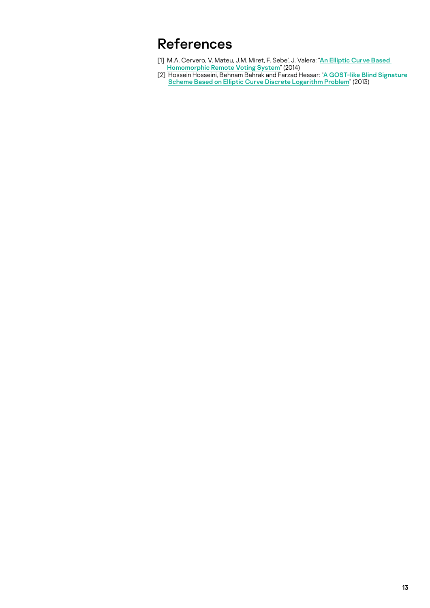## <span id="page-13-0"></span>References

- [1] M.A. Cervero, V. Mateu, J.M. Miret, F. Sebe', J. Valera: "[An Elliptic Curve Based](https://web.ua.es/es/recsi2014/documentos/papers/an-elliptic-curve-based-homomorphic-remote-voting-system.pdf)  [Homomorphic Remote Voting System](https://web.ua.es/es/recsi2014/documentos/papers/an-elliptic-curve-based-homomorphic-remote-voting-system.pdf)" (2014)
- [2] Hossein Hosseini, Behnam Bahrak and Farzad Hessar: "A GOST-like Blind Signature [Scheme Based on Elliptic Curve Discrete Logarithm Problem](https://arxiv.org/pdf/1304.2094.pdf)" (2013)